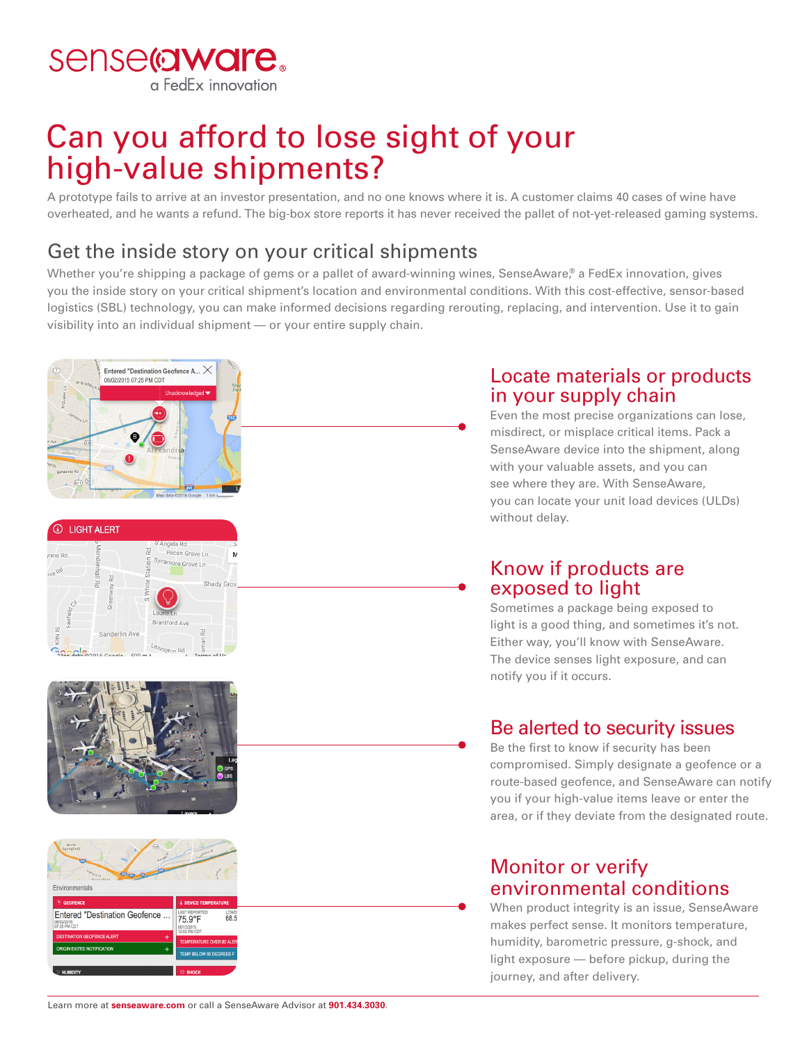sense@ware. a FedEx innovation

# Can you afford to lose sight of your high-value shipments?

A prototype fails to arrive at an investor presentation, and no one knows where it is. A customer claims 40 cases of wine have overheated, and he wants a refund. The big-box store reports it has never received the pallet of not-yet-released gaming systems.

### Get the inside story on your critical shipments

Whether you're shipping a package of gems or a pallet of award-winning wines, SenseAware,® a FedEx innovation, gives you the inside story on your critical shipment's location and environmental conditions. With this cost-effective, sensor-based logistics (SBL) technology, you can make informed decisions regarding rerouting, replacing, and intervention. Use it to gain visibility into an individual shipment — or your entire supply chain.



#### Locate materials or products in your supply chain

Even the most precise organizations can lose, misdirect, or misplace critical items. Pack a SenseAware device into the shipment, along with your valuable assets, and you can see where they are. With SenseAware, you can locate your unit load devices (ULDs) without delay.

#### Know if products are exposed to light

Sometimes a package being exposed to light is a good thing, and sometimes it's not. Either way, you'll know with SenseAware. The device senses light exposure, and can notify you if it occurs.

### Be alerted to security issues

Be the first to know if security has been compromised. Simply designate a geofence or a route-based geofence, and SenseAware can notify you if your high-value items leave or enter the area, or if they deviate from the designated route.

#### Monitor or verify environmental conditions

When product integrity is an issue, SenseAware makes perfect sense. It monitors temperature, humidity, barometric pressure, g-shock, and light exposure — before pickup, during the journey, and after delivery.